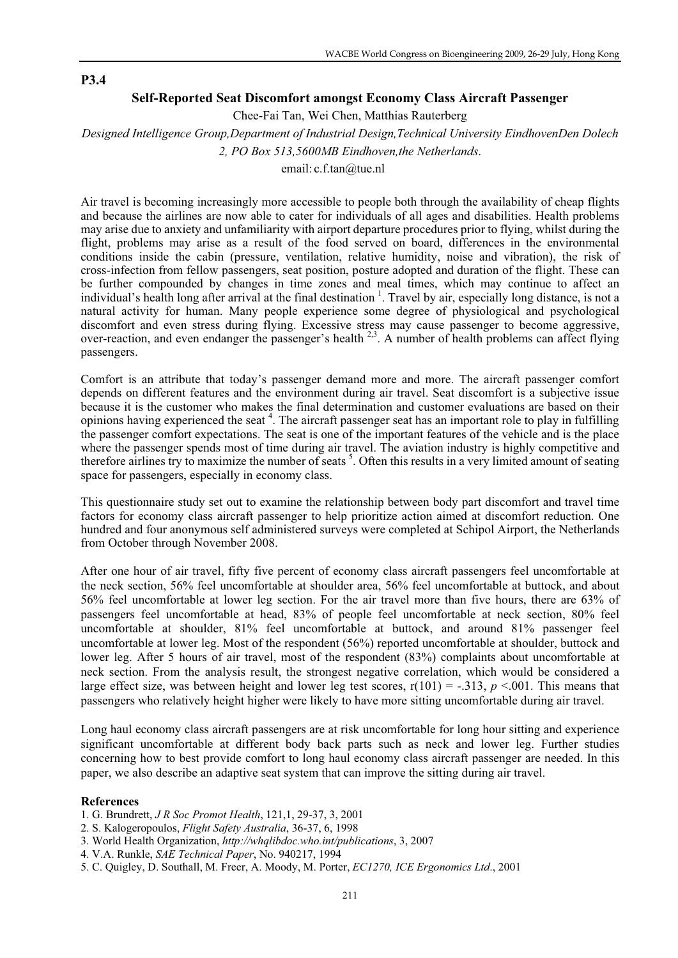### **P3.4**

#### **Self-Reported Seat Discomfort amongst Economy Class Aircraft Passenger**

Chee-Fai Tan, Wei Chen, Matthias Rauterberg

*Designed Intelligence Group,Department of Industrial Design,Technical University EindhovenDen Dolech 2, PO Box 513,5600MB Eindhoven,the Netherlands*.

#### email: c.f.tan@tue.nl

Air travel is becoming increasingly more accessible to people both through the availability of cheap flights and because the airlines are now able to cater for individuals of all ages and disabilities. Health problems may arise due to anxiety and unfamiliarity with airport departure procedures prior to flying, whilst during the flight, problems may arise as a result of the food served on board, differences in the environmental conditions inside the cabin (pressure, ventilation, relative humidity, noise and vibration), the risk of cross-infection from fellow passengers, seat position, posture adopted and duration of the flight. These can be further compounded by changes in time zones and meal times, which may continue to affect an individual's health long after arrival at the final destination<sup>1</sup>. Travel by air, especially long distance, is not a natural activity for human. Many people experience some degree of physiological and psychological discomfort and even stress during flying. Excessive stress may cause passenger to become aggressive, over-reaction, and even endanger the passenger's health  $2,3$ . A number of health problems can affect flying passengers.

Comfort is an attribute that today's passenger demand more and more. The aircraft passenger comfort depends on different features and the environment during air travel. Seat discomfort is a subjective issue because it is the customer who makes the final determination and customer evaluations are based on their opinions having experienced the seat<sup>4</sup>. The aircraft passenger seat has an important role to play in fulfilling the passenger comfort expectations. The seat is one of the important features of the vehicle and is the place where the passenger spends most of time during air travel. The aviation industry is highly competitive and therefore airlines try to maximize the number of seats<sup>5</sup>. Often this results in a very limited amount of seating space for passengers, especially in economy class.

This questionnaire study set out to examine the relationship between body part discomfort and travel time factors for economy class aircraft passenger to help prioritize action aimed at discomfort reduction. One hundred and four anonymous self administered surveys were completed at Schipol Airport, the Netherlands from October through November 2008.

After one hour of air travel, fifty five percent of economy class aircraft passengers feel uncomfortable at the neck section, 56% feel uncomfortable at shoulder area, 56% feel uncomfortable at buttock, and about 56% feel uncomfortable at lower leg section. For the air travel more than five hours, there are 63% of passengers feel uncomfortable at head, 83% of people feel uncomfortable at neck section, 80% feel uncomfortable at shoulder, 81% feel uncomfortable at buttock, and around 81% passenger feel uncomfortable at lower leg. Most of the respondent (56%) reported uncomfortable at shoulder, buttock and lower leg. After 5 hours of air travel, most of the respondent (83%) complaints about uncomfortable at neck section. From the analysis result, the strongest negative correlation, which would be considered a large effect size, was between height and lower leg test scores,  $r(101) = -0.313$ ,  $p \le 0.001$ . This means that passengers who relatively height higher were likely to have more sitting uncomfortable during air travel.

Long haul economy class aircraft passengers are at risk uncomfortable for long hour sitting and experience significant uncomfortable at different body back parts such as neck and lower leg. Further studies concerning how to best provide comfort to long haul economy class aircraft passenger are needed. In this paper, we also describe an adaptive seat system that can improve the sitting during air travel.

#### **References**

- 1. G. Brundrett, *J R Soc Promot Health*, 121,1, 29-37, 3, 2001
- 2. S. Kalogeropoulos, *Flight Safety Australia*, 36-37, 6, 1998
- 3. World Health Organization, *http://whqlibdoc.who.int/publications*, 3, 2007
- 4. V.A. Runkle, *SAE Technical Paper*, No. 940217, 1994
- 5. C. Quigley, D. Southall, M. Freer, A. Moody, M. Porter, *EC1270, ICE Ergonomics Ltd*., 2001